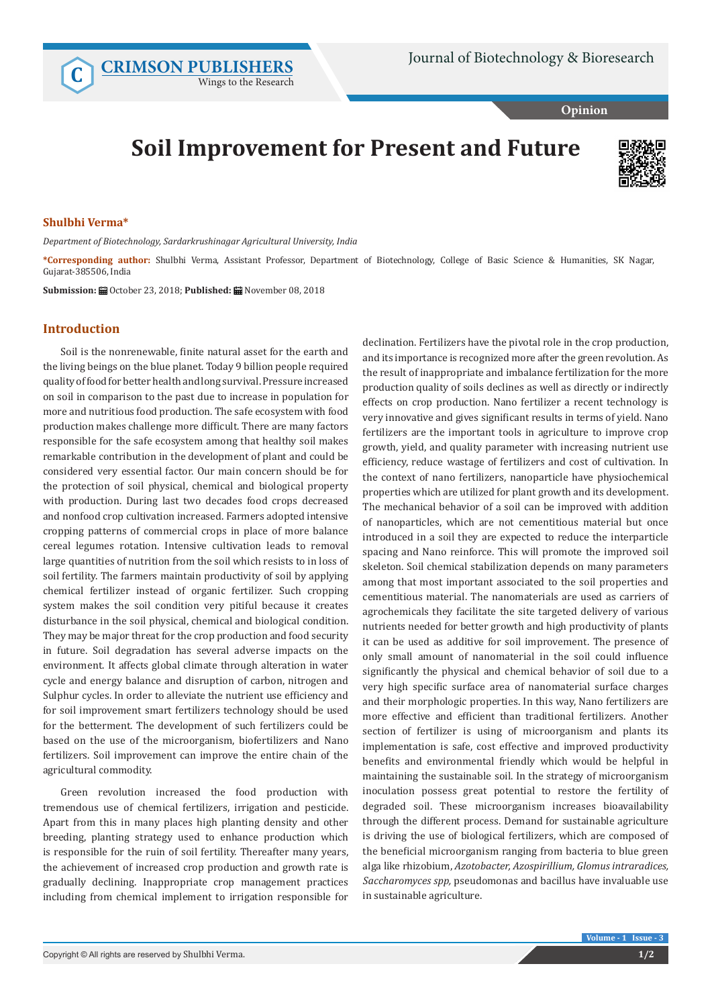**C [CRIMSON PUBLISHERS](http://crimsonpublishers.com/index.php)** Wings to the Research

**Opinion**

## **Soil Improvement for Present and Future**



## **Shulbhi Verma\***

*Department of Biotechnology, Sardarkrushinagar Agricultural University, India*

**\*Corresponding author:** Shulbhi Verma, Assistant Professor, Department of Biotechnology, College of Basic Science & Humanities, SK Nagar, Gujarat-385506, India

**Submission:** ■ October 23, 2018; Published: ■ November 08, 2018

## **Introduction**

Soil is the nonrenewable, finite natural asset for the earth and the living beings on the blue planet. Today 9 billion people required quality of food for better health and long survival. Pressure increased on soil in comparison to the past due to increase in population for more and nutritious food production. The safe ecosystem with food production makes challenge more difficult. There are many factors responsible for the safe ecosystem among that healthy soil makes remarkable contribution in the development of plant and could be considered very essential factor. Our main concern should be for the protection of soil physical, chemical and biological property with production. During last two decades food crops decreased and nonfood crop cultivation increased. Farmers adopted intensive cropping patterns of commercial crops in place of more balance cereal legumes rotation. Intensive cultivation leads to removal large quantities of nutrition from the soil which resists to in loss of soil fertility. The farmers maintain productivity of soil by applying chemical fertilizer instead of organic fertilizer. Such cropping system makes the soil condition very pitiful because it creates disturbance in the soil physical, chemical and biological condition. They may be major threat for the crop production and food security in future. Soil degradation has several adverse impacts on the environment. It affects global climate through alteration in water cycle and energy balance and disruption of carbon, nitrogen and Sulphur cycles. In order to alleviate the nutrient use efficiency and for soil improvement smart fertilizers technology should be used for the betterment. The development of such fertilizers could be based on the use of the microorganism, biofertilizers and Nano fertilizers. Soil improvement can improve the entire chain of the agricultural commodity.

Green revolution increased the food production with tremendous use of chemical fertilizers, irrigation and pesticide. Apart from this in many places high planting density and other breeding, planting strategy used to enhance production which is responsible for the ruin of soil fertility. Thereafter many years, the achievement of increased crop production and growth rate is gradually declining. Inappropriate crop management practices including from chemical implement to irrigation responsible for declination. Fertilizers have the pivotal role in the crop production, and its importance is recognized more after the green revolution. As the result of inappropriate and imbalance fertilization for the more production quality of soils declines as well as directly or indirectly effects on crop production. Nano fertilizer a recent technology is very innovative and gives significant results in terms of yield. Nano fertilizers are the important tools in agriculture to improve crop growth, yield, and quality parameter with increasing nutrient use efficiency, reduce wastage of fertilizers and cost of cultivation. In the context of nano fertilizers, nanoparticle have physiochemical properties which are utilized for plant growth and its development. The mechanical behavior of a soil can be improved with addition of nanoparticles, which are not cementitious material but once introduced in a soil they are expected to reduce the interparticle spacing and Nano reinforce. This will promote the improved soil skeleton. Soil chemical stabilization depends on many parameters among that most important associated to the soil properties and cementitious material. The nanomaterials are used as carriers of agrochemicals they facilitate the site targeted delivery of various nutrients needed for better growth and high productivity of plants it can be used as additive for soil improvement. The presence of only small amount of nanomaterial in the soil could influence significantly the physical and chemical behavior of soil due to a very high specific surface area of nanomaterial surface charges and their morphologic properties. In this way, Nano fertilizers are more effective and efficient than traditional fertilizers. Another section of fertilizer is using of microorganism and plants its implementation is safe, cost effective and improved productivity benefits and environmental friendly which would be helpful in maintaining the sustainable soil. In the strategy of microorganism inoculation possess great potential to restore the fertility of degraded soil. These microorganism increases bioavailability through the different process. Demand for sustainable agriculture is driving the use of biological fertilizers, which are composed of the beneficial microorganism ranging from bacteria to blue green alga like rhizobium, *Azotobacter, Azospirillium, Glomus intraradices, Saccharomyces spp,* pseudomonas and bacillus have invaluable use in sustainable agriculture.